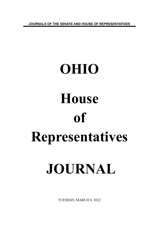**JOURNALS OF THE SENATE AND HOUSE OF REPRESENTATIVES**

# **OHIO House of Representatives JOURNAL**

TUESDAY, MARCH 8, 2022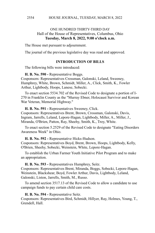# ONE HUNDRED THIRTY-THIRD DAY Hall of the House of Representatives, Columbus, Ohio **Tuesday, March 8, 2022, 9:00 o'clock a.m.**

The House met pursuant to adjournment.

The journal of the previous legislative day was read and approved.

#### **INTRODUCTION OF BILLS**

The following bills were introduced:

#### **H. B. No. 590 -** Representative Boggs.

Cosponsors: Representatives Crossman, Galonski, Leland, Sweeney, Humphrey, White, Brown, Schmidt, Miller, A., Click, Smith, K., Fowler Arthur, Lightbody, Hoops, Lanese, Sobecki.

To enact section 5534.702 of the Revised Code to designate a portion of I-270 in Franklin County as the "Murray Ebner, Holocaust Survivor and Korean War Veteran, Memorial Highway."

#### **H. B. No. 591 -** Representatives Sweeney, Click.

Cosponsors: Representatives Brent, Brown, Crossman, Galonski, Davis, Ingram, Jarrells, Leland, Lepore-Hagan, Lightbody, Miller, A., Miller, J., Miranda, O'Brien, Patton, Ray, Sheehy, Smith, K., Troy, White.

To enact section 5.2529 of the Revised Code to designate "Eating Disorders Awareness Week" in Ohio.

#### **H. B. No. 592 -** Representative Hicks-Hudson.

Cosponsors: Representatives Boyd, Brent, Brown, Hoops, Lightbody, Kelly, O'Brien, Sheehy, Sobecki, Weinstein, White, Lepore-Hagan.

To establish the Urban Farmer Youth Initiative Pilot Program and to make an appropriation.

**H. B. No. 593 -** Representatives Humphrey, Seitz.

Cosponsors: Representatives Brent, Miranda, Boggs, Sobecki, Lepore-Hagan, Weinstein, Blackshear, Boyd, Fowler Arthur, Davis, Lightbody, Leland, Galonski, Liston, Jarrells, Smith, M., Russo.

To amend section 3517.13 of the Revised Code to allow a candidate to use campaign funds to pay certain child care costs.

#### **H. B. No. 594 -** Representative Seitz.

Cosponsors: Representatives Bird, Schmidt, Hillyer, Ray, Holmes, Young, T., Grendell, Hall.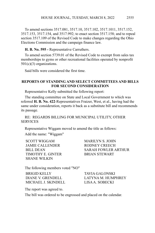To amend sections 3517.081, 3517.10, 3517.102, 3517.1011, 3517.152, 3517.153, 3517.154, and 3517.992; to enact section 3517.158; and to repeal section 3517.109 of the Revised Code to make changes regarding the Ohio Elections Commission and the campaign finance law.

**H. B. No. 595 -** Representative Carruthers.

To amend section 5739.01 of the Revised Code to exempt from sales tax memberships to gyms or other recreational facilities operated by nonprofit  $501(c)(3)$  organizations.

Said bills were considered the first time.

# **REPORTS OF STANDING AND SELECT COMMITTEES AND BILLS FOR SECOND CONSIDERATION**

Representative Kelly submitted the following report:

The standing committee on State and Local Government to which was referred **H. B. No. 422**-Representatives Fraizer, West, et al., having had the same under consideration, reports it back as a substitute bill and recommends its passage.

RE: REGARDS BILLING FOR MUNICIPAL UTILITY, OTHER **SERVICES** 

Representative Wiggam moved to amend the title as follows:

Add the name: "Wiggam"

SCOTT WIGGAM MARILYN S. JOHN JAMIE CALLENDER RODNEY CREECH TIMOTHY E. GINTER BRIAN STEWART SHANE WILKIN

BILL DEAN SARAH FOWLER ARTHUR

The following members voted "NO"

BRIGID KELLY TAVIA GALONSKI MICHAEL J. SKINDELL LISA A. SOBECKI

DIANE V. GRENDELL LATYNA M. HUMPHREY

The report was agreed to.

The bill was ordered to be engrossed and placed on the calendar.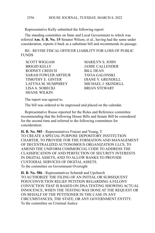Representative Kelly submitted the following report:

The standing committee on State and Local Government to which was referred **Am. S. B. No. 15**-Senator Wilson, et al., having had the same under consideration, reports it back as a substitute bill and recommends its passage.

RE: REVISE FISCAL OFFICER LIABILITY FOR LOSS OF PUBLIC **FUNDS** 

SCOTT WIGGAM MARILYN S. JOHN BRIGID KELLY JAMIE CALLENDER RODNEY CREECH BILL DEAN SARAH FOWLER ARTHUR TAVIA GALONSKI TIMOTHY E. GINTER DIANE V. GRENDELL LATYNA M. HUMPHREY MICHAEL J. SKINDELL LISA A. SOBECKI BRIAN STEWART SHANE WILKIN

The report was agreed to.

The bill was ordered to be engrossed and placed on the calendar.

Representative Russo reported for the Rules and Reference committee recommending that the following House Bills and Senate Bill be considered for the second time and referred to the following committees for consideration:

**H. B. No. 585** - Representatives Fraizer and Young, T. TO CREATE A SPECIAL PURPOSE DEPOSITORY INSTITUTION CHARTER, TO PROVIDE FOR THE FORMATION AND MANAGEMENT OF DECENTRALIZED AUTONOMOUS ORGANIZATION LLCS, TO AMEND THE UNIFORM COMMERCIAL CODE TO ADDRESS THE CLASSIFICATION OF AND PERFECTION OF SECURITY INTERESTS IN DIGITAL ASSETS, AND TO ALLOW BANKS TO PROVIDE CUSTODIAL SERVICES OF DIGITAL ASSETS. To the committee on Government Oversight

**H. B. No. 586** - Representatives Schmidt and Upchurch TO AUTHORIZE THE FILING OF AN INITIAL OR SUBSEQUENT POSTCONVICTION RELIEF PETITION REGARDING A FELONY CONVICTION THAT IS BASED ON DNA TESTING SHOWING ACTUAL INNOCENCE, WHEN THE TESTING WAS DONE AT THE REQUEST OR ON BEHALF OF THE PETITIONER IN THE CASE IN ANY CIRCUMSTANCES, THE STATE, OR ANY GOVERNMENT ENTITY. To the committee on Criminal Justice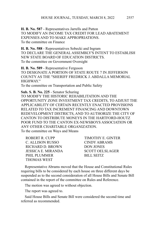**H. B. No. 587** - Representatives Jarrells and Patton TO MODIFY AN INCOME TAX CREDIT FOR LEAD ABATEMENT EXPENSES AND TO MAKE APPROPRIATIONS. To the committee on Finance

**H. B. No. 588** - Representatives Sobecki and Ingram TO DECLARE THE GENERAL ASSEMBLY'S INTENT TO ESTABLISH NEW STATE BOARD OF EDUCATION DISTRICTS. To the committee on Government Oversight

**H. B. No. 589** - Representative Ferguson TO DESIGNATE A PORTION OF STATE ROUTE 7 IN JEFFERSON COUNTY AS THE "SHERIFF FREDRICK J. ABDALLA MEMORIAL HIGHWAY." To the committee on Transportation and Public Safety

**Sub. S. B. No. 225** - Senator Schuring TO MODIFY THE HISTORIC REHABILITATION AND THE OPPORTUNITY ZONE INVESTMENT TAX CREDITS, TO ADJUST THE APPLICABILITY OF CERTAIN RECENTLY ENACTED PROVISIONS RELATED TO TAX INCREMENT FINANCING AND DOWNTOWN REDEVELOPMENT DISTRICTS, AND TO AUTHORIZE THE CITY OF CANTON TO DISTRIBUTE MONEYS IN THE HARTFORD-HOUTZ POOR FUND TO THE CANTON EX-NEWSBOYS ASSOCIATION OR ANY OTHER CHARITABLE ORGANIZATION. To the committee on Ways and Means

ROBERT R. CUPP TIMOTHY E. GINTER C. ALLISON RUSSO CINDY ABRAMS RICHARD D. BROWN DON JONES JESSICA E. MIRANDA SCOTT OELSLAGER PHIL PLUMMER
BILL SEITZ THOMAS WEST

Representative Abrams moved that the House and Constitutional Rules requiring bills to be considered by each house on three different days be suspended as to the second consideration of all House Bills and Senate Bill contained in the report of the committee on Rules and Reference.

The motion was agreed to without objection.

The report was agreed to.

Said House Bills and Senate Bill were considered the second time and referred as recommended.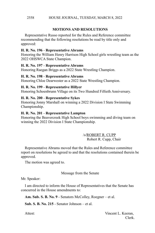# **MOTIONS AND RESOLUTIONS**

Representative Russo reported for the Rules and Reference committee recommending that the following resolutions be read by title only and approved:

# **H. R. No. 196** - **Representative Abrams**

Honoring the William Henry Harrison High School girls wrestling team as the 2022 OHSWCA State Champion.

# **H. R. No. 197** - **Representative Abrams**

Honoring Raegan Briggs as a 2022 State Wrestling Champion.

# **H. R. No. 198** - **Representative Abrams**

Honoring Chloe Dearwester as a 2022 State Wrestling Champion.

# **H. R. No. 199** - **Representative Hillyer**

Honoring Schoenbrunn Village on its Two Hundred Fiftieth Anniversary.

# **H. R. No. 200** - **Representative Sykes**

Honoring Jonny Marshall on winning a 2022 Division I State Swimming Championship.

# **H. R. No. 201** - **Representative Lampton**

Honoring the Beavercreek High School boys swimming and diving team on winning the 2022 Division I State Championship.

> /s/ROBERT R. CUPP Robert R. Cupp, Chair

Representative Abrams moved that the Rules and Reference committee report on resolutions be agreed to and that the resolutions contained therein be approved.

The motion was agreed to.

# Message from the Senate

Mr. Speaker:

I am directed to inform the House of Representatives that the Senate has concurred in the House amendments to:

**Am. Sub. S. B. No. 9** - Senators McColley, Roegner – et al.

**Sub. S. B. No. 215** - Senator Johnson – et al.

Attest: Vincent L. Keeran, Clerk.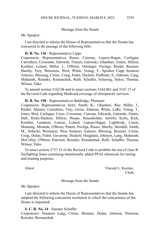#### Message from the Senate

Mr. Speaker:

I am directed to inform the House of Representatives that the Senate has concurred in the passage of the following bills:

#### **H. B. No. 136** - Representative Lipps

Cosponsors: Representatives Russo, Cutrona, Lepore-Hagan, Carfagna, Carruthers, Crossman, Edwards, Fraizer, Galonski, Ghanbari, Ginter, Hillyer, Koehler, Leland, Miller, J., O'Brien, Oelslager, Pavliga, Riedel, Roemer, Sheehy, Troy, Weinstein, West, White, Young, T., Speaker Cupp Senators Antonio, Blessing, Cirino, Craig, Fedor, Hackett, Huffman, S., Johnson, Lang, Maharath, Reineke, Romanchuk, Rulli, Schaffer, Schuring, Sykes, Thomas, Wilson, Yuko

To amend section 5162.06 and to enact sections 5164.061 and 5167.15 of the Revised Code regarding Medicaid coverage of chiropractic services.

#### **H. B. No. 158** - Representatives Baldridge, Plummer

Cosponsors: Representatives Seitz, Smith, K., Ghanbari, Ray, Miller, J., Riedel, Abrams, Carruthers, Troy, Gross, Johnson, White, LaRe, Young, T., Jones, Bird, Carfagna, Cross, Crossman, Cutrona, Edwards, Galonski, Ginter, Hall, Hicks-Hudson, Hillyer, Hoops, Householder, Jarrells, Kelly, Kick, Koehler, Lampton, Lanese, Leland, Lepore-Hagan, Lightbody, Liston, Manning, Miranda, O'Brien, Patton, Pavliga, Russo, Sheehy, Skindell, Smith, M., Sobecki, Weinstein, West Senators Antonio, Blessing, Brenner, Cirino, Craig, Dolan, Fedor, Gavarone, Hackett, Hoagland, Johnson, Lang, Maharath, McColley, O'Brien, Peterson, Reineke, Romanchuk, Rulli, Schaffer, Thomas, Wilson, Yuko

To enact section 3737.52 of the Revised Code to prohibit the use of class B firefighting foam containing intentionally added PFAS chemicals for testing and training purposes.

Attest: Vincent L. Keeran, Clerk.

Message from the Senate

Mr. Speaker:

I am directed to inform the House of Representatives that the Senate has adopted the following concurrent resolution in which the concurrence of the House is requested:

**S. C. R. No. 14** - Senator Schaffer

Cosponsors: Senators Lang, Cirino, Brenner, Dolan, Johnson, Peterson, Reineke, Romanchuk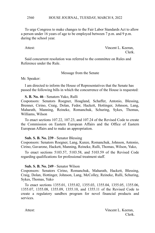HOUSE JOURNAL, TUESDAY, MARCH 8, 2022 2560

To urge Congress to make changes to the Fair Labor Standards Act to allow a person under 16 years of age to be employed between 7 p.m. and 9 p.m. during the school year.

Attest: Vincent L. Keeran, Clerk.

Said concurrent resolution was referred to the committee on Rules and Reference under the Rule.

Message from the Senate

Mr. Speaker:

I am directed to inform the House of Representatives that the Senate has passed the following bills in which the concurrence of the House is requested:

**S. B. No. 46** - Senators Yuko, Rulli

Cosponsors: Senators Roegner, Hoagland, Schaffer, Antonio, Blessing, Brenner, Cirino, Craig, Dolan, Fedor, Hackett, Hottinger, Johnson, Lang, Maharath, Manning, Reineke, Romanchuk, Schuring, Sykes, Thomas, Williams, Wilson

To enact sections 107.22, 107.23, and 107.24 of the Revised Code to create the Commission on Eastern European Affairs and the Office of Eastern European Affairs and to make an appropriation.

# **Sub. S. B. No. 239** - Senator Blessing

Cosponsors: Senators Roegner, Lang, Kunze, Romanchuk, Johnson, Antonio, Cirino, Gavarone, Hackett, Manning, Reineke, Rulli, Thomas, Wilson, Yuko,

To enact sections 5103.57, 5103.58, and 5103.59 of the Revised Code regarding qualifications for professional treatment staff.

#### **Sub. S. B. No. 249** - Senator Wilson

Cosponsors: Senators Cirino, Romanchuk, Maharath, Hackett, Blessing, Craig, Dolan, Hottinger, Johnson, Lang, McColley, Reineke, Rulli, Schuring, Sykes, Thomas, Yuko

To enact sections 1355.01, 1355.02, 1355.03, 1355.04, 1355.05, 1355.06, 1355.07, 1355.08, 1355.09, 1355.10, and 1355.11 of the Revised Code to create a regulatory sandbox program for novel financial products and services.

Attest: Vincent L. Keeran, Clerk.